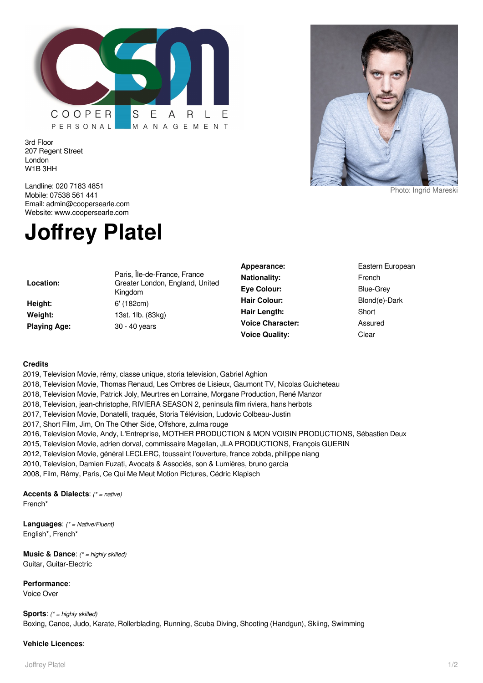

3rd Floor 207 Regent Street London W1B 3HH



Photo: Ingrid Mareski

Landline: 020 7183 4851 Mobile: 07538 561 441 Email: admin@coopersearle.com Website: www.coopersearle.com

## **Joffrey Platel**

**Location:**

**Height:** 6' (182cm) **Playing Age:** 30 - 40 years

Paris, Île-de-France, France Greater London, England, United Kingdom **Weight:** 13st. 1lb. (83kg)

Appearance: Eastern European **Nationality:** French **Eye Colour:** Blue-Grey Hair Colour: Blond(e)-Dark **Hair Length:** Short **Voice Character:** Assured **Voice Quality:** Clear

## **Credits**

2019, Television Movie, rémy, classe unique, storia television, Gabriel Aghion

2018, Television Movie, Thomas Renaud, Les Ombres de Lisieux, Gaumont TV, Nicolas Guicheteau

2018, Television Movie, Patrick Joly, Meurtres en Lorraine, Morgane Production, René Manzor

2018, Television, jean-christophe, RIVIERA SEASON 2, peninsula film riviera, hans herbots

2017, Television Movie, Donatelli, traqués, Storia Télévision, Ludovic Colbeau-Justin

2017, Short Film, Jim, On The Other Side, Offshore, zulma rouge

2016, Television Movie, Andy, L'Entreprise, MOTHER PRODUCTION & MON VOISIN PRODUCTIONS, Sébastien Deux

2015, Television Movie, adrien dorval, commissaire Magellan, JLA PRODUCTIONS, François GUERIN

2012, Television Movie, général LECLERC, toussaint l'ouverture, france zobda, philippe niang

2010, Television, Damien Fuzati, Avocats & Associés, son & Lumières, bruno garcia

2008, Film, Rémy, Paris, Ce Qui Me Meut Motion Pictures, Cédric Klapisch

**Accents & Dialects**: (\* = native) French\*

**Languages**: (\* = Native/Fluent) English\*, French\*

**Music & Dance:** (\* = highly skilled) Guitar, Guitar-Electric

## **Performance**:

Voice Over

**Sports:** (\* = highly skilled) Boxing, Canoe, Judo, Karate, Rollerblading, Running, Scuba Diving, Shooting (Handgun), Skiing, Swimming

## **Vehicle Licences**: